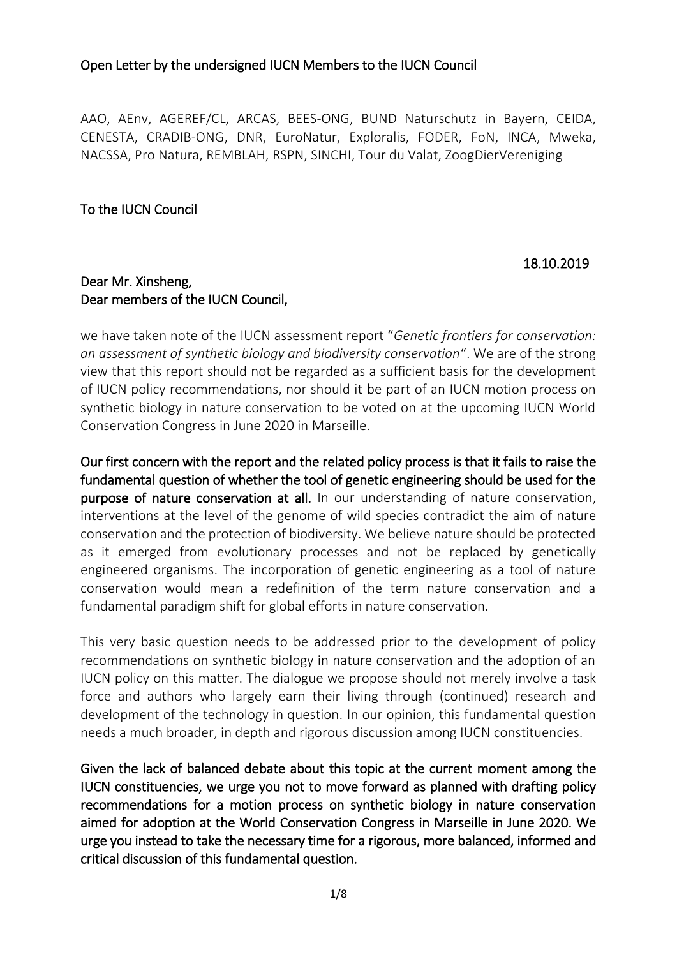AAO, AEnv, AGEREF/CL, ARCAS, BEES-ONG, BUND Naturschutz in Bayern, CEIDA, CENESTA, CRADIB-ONG, DNR, EuroNatur, Exploralis, FODER, FoN, INCA, Mweka, NACSSA, Pro Natura, REMBLAH, RSPN, SINCHI, Tour du Valat, ZoogDierVereniging

### To the IUCN Council

#### 18.10.2019

#### Dear Mr. Xinsheng, Dear members of the IUCN Council,

we have taken note of the IUCN assessment report "*Genetic frontiers for conservation: an assessment of synthetic biology and biodiversity conservation*". We are of the strong view that this report should not be regarded as a sufficient basis for the development of IUCN policy recommendations, nor should it be part of an IUCN motion process on synthetic biology in nature conservation to be voted on at the upcoming IUCN World Conservation Congress in June 2020 in Marseille.

Our first concern with the report and the related policy process is that it fails to raise the fundamental question of whether the tool of genetic engineering should be used for the purpose of nature conservation at all. In our understanding of nature conservation, interventions at the level of the genome of wild species contradict the aim of nature conservation and the protection of biodiversity. We believe nature should be protected as it emerged from evolutionary processes and not be replaced by genetically engineered organisms. The incorporation of genetic engineering as a tool of nature conservation would mean a redefinition of the term nature conservation and a fundamental paradigm shift for global efforts in nature conservation.

This very basic question needs to be addressed prior to the development of policy recommendations on synthetic biology in nature conservation and the adoption of an IUCN policy on this matter. The dialogue we propose should not merely involve a task force and authors who largely earn their living through (continued) research and development of the technology in question. In our opinion, this fundamental question needs a much broader, in depth and rigorous discussion among IUCN constituencies.

Given the lack of balanced debate about this topic at the current moment among the IUCN constituencies, we urge you not to move forward as planned with drafting policy recommendations for a motion process on synthetic biology in nature conservation aimed for adoption at the World Conservation Congress in Marseille in June 2020. We urge you instead to take the necessary time for a rigorous, more balanced, informed and critical discussion of this fundamental question.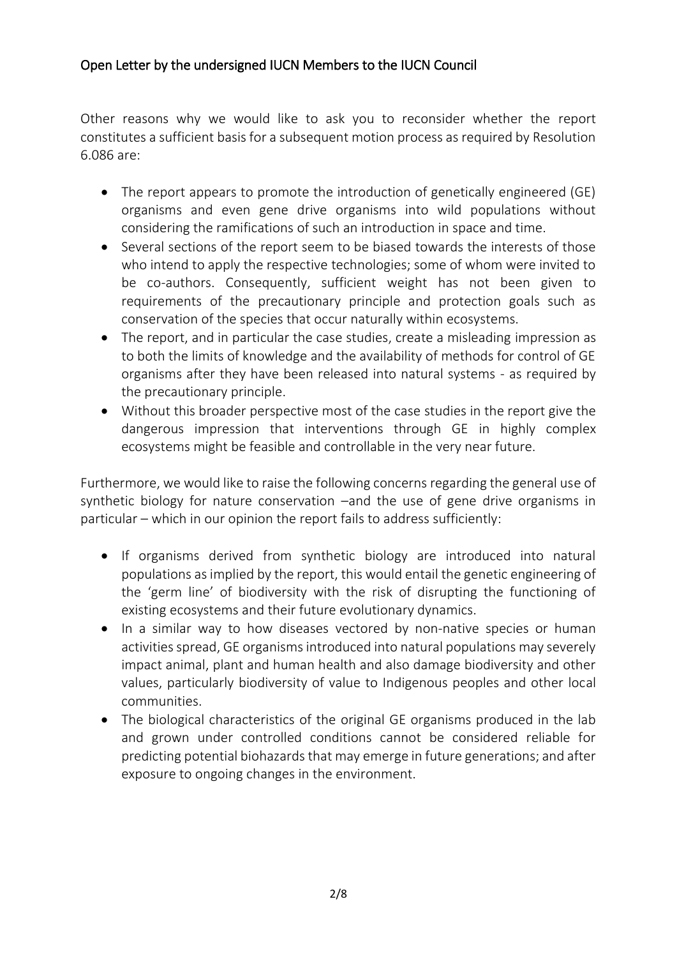Other reasons why we would like to ask you to reconsider whether the report constitutes a sufficient basis for a subsequent motion process as required by Resolution 6.086 are:

- The report appears to promote the introduction of genetically engineered (GE) organisms and even gene drive organisms into wild populations without considering the ramifications of such an introduction in space and time.
- Several sections of the report seem to be biased towards the interests of those who intend to apply the respective technologies; some of whom were invited to be co-authors. Consequently, sufficient weight has not been given to requirements of the precautionary principle and protection goals such as conservation of the species that occur naturally within ecosystems.
- The report, and in particular the case studies, create a misleading impression as to both the limits of knowledge and the availability of methods for control of GE organisms after they have been released into natural systems - as required by the precautionary principle.
- Without this broader perspective most of the case studies in the report give the dangerous impression that interventions through GE in highly complex ecosystems might be feasible and controllable in the very near future.

Furthermore, we would like to raise the following concerns regarding the general use of synthetic biology for nature conservation –and the use of gene drive organisms in particular – which in our opinion the report fails to address sufficiently:

- If organisms derived from synthetic biology are introduced into natural populations as implied by the report, this would entail the genetic engineering of the 'germ line' of biodiversity with the risk of disrupting the functioning of existing ecosystems and their future evolutionary dynamics.
- In a similar way to how diseases vectored by non-native species or human activities spread, GE organisms introduced into natural populations may severely impact animal, plant and human health and also damage biodiversity and other values, particularly biodiversity of value to Indigenous peoples and other local communities.
- The biological characteristics of the original GE organisms produced in the lab and grown under controlled conditions cannot be considered reliable for predicting potential biohazards that may emerge in future generations; and after exposure to ongoing changes in the environment.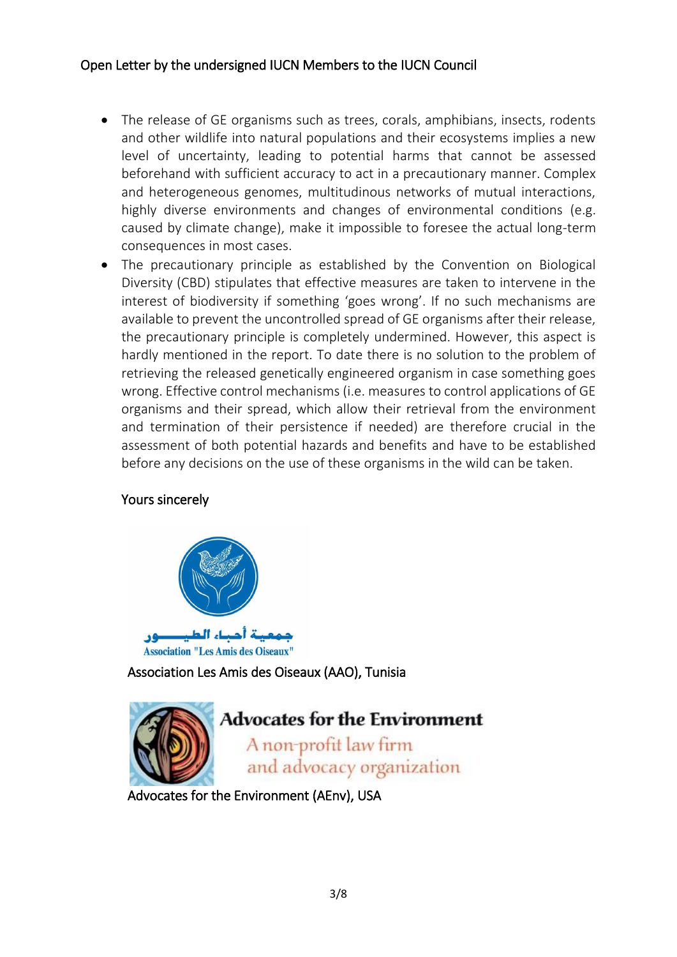- The release of GE organisms such as trees, corals, amphibians, insects, rodents and other wildlife into natural populations and their ecosystems implies a new level of uncertainty, leading to potential harms that cannot be assessed beforehand with sufficient accuracy to act in a precautionary manner. Complex and heterogeneous genomes, multitudinous networks of mutual interactions, highly diverse environments and changes of environmental conditions (e.g. caused by climate change), make it impossible to foresee the actual long-term consequences in most cases.
- The precautionary principle as established by the Convention on Biological Diversity (CBD) stipulates that effective measures are taken to intervene in the interest of biodiversity if something 'goes wrong'. If no such mechanisms are available to prevent the uncontrolled spread of GE organisms after their release, the precautionary principle is completely undermined. However, this aspect is hardly mentioned in the report. To date there is no solution to the problem of retrieving the released genetically engineered organism in case something goes wrong. Effective control mechanisms (i.e. measures to control applications of GE organisms and their spread, which allow their retrieval from the environment and termination of their persistence if needed) are therefore crucial in the assessment of both potential hazards and benefits and have to be established before any decisions on the use of these organisms in the wild can be taken.

### Yours sincerely



Association Les Amis des Oiseaux (AAO), Tunisia



Advocates for the Environment (AEnv), USA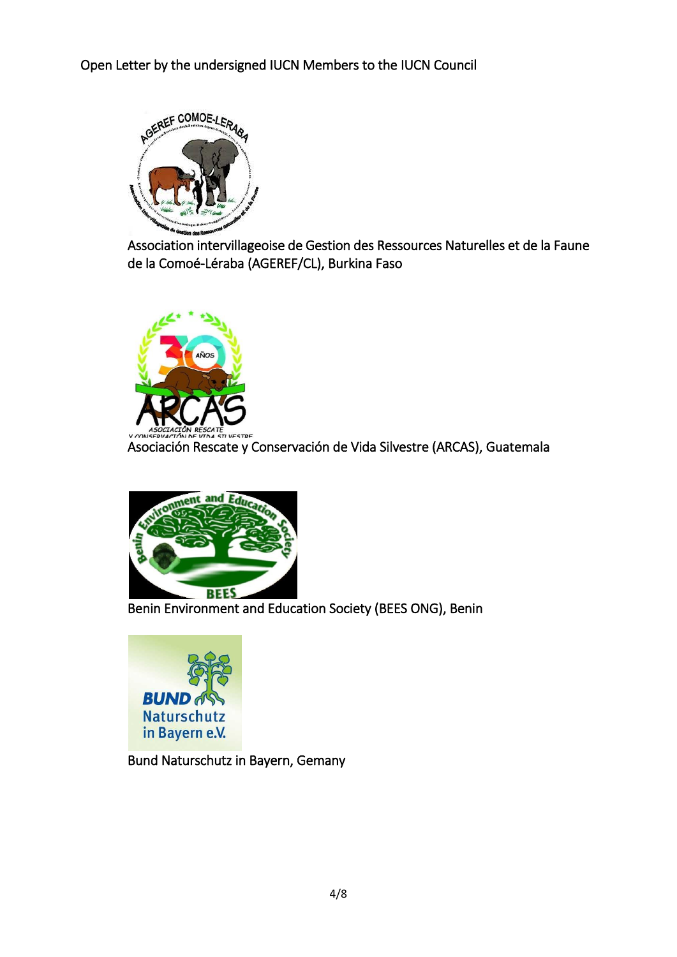

Association intervillageoise de Gestion des Ressources Naturelles et de la Faune de la Comoé-Léraba (AGEREF/CL), Burkina Faso



Asociación Rescate y Conservación de Vida Silvestre (ARCAS), Guatemala



Benin Environment and Education Society (BEES ONG), Benin



Bund Naturschutz in Bayern, Gemany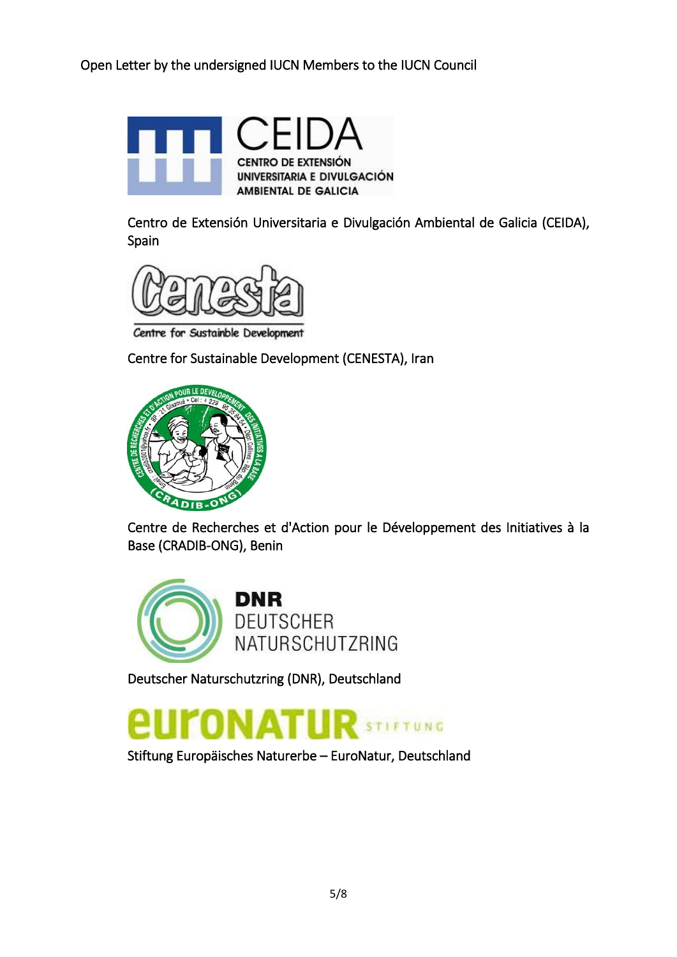

Centro de Extensión Universitaria e Divulgación Ambiental de Galicia (CEIDA), Spain



Centre for Sustainble Development

Centre for Sustainable Development (CENESTA), Iran



Centre de Recherches et d'Action pour le Développement des Initiatives à la Base (CRADIB-ONG), Benin



Deutscher Naturschutzring (DNR), Deutschland



Stiftung Europäisches Naturerbe – EuroNatur, Deutschland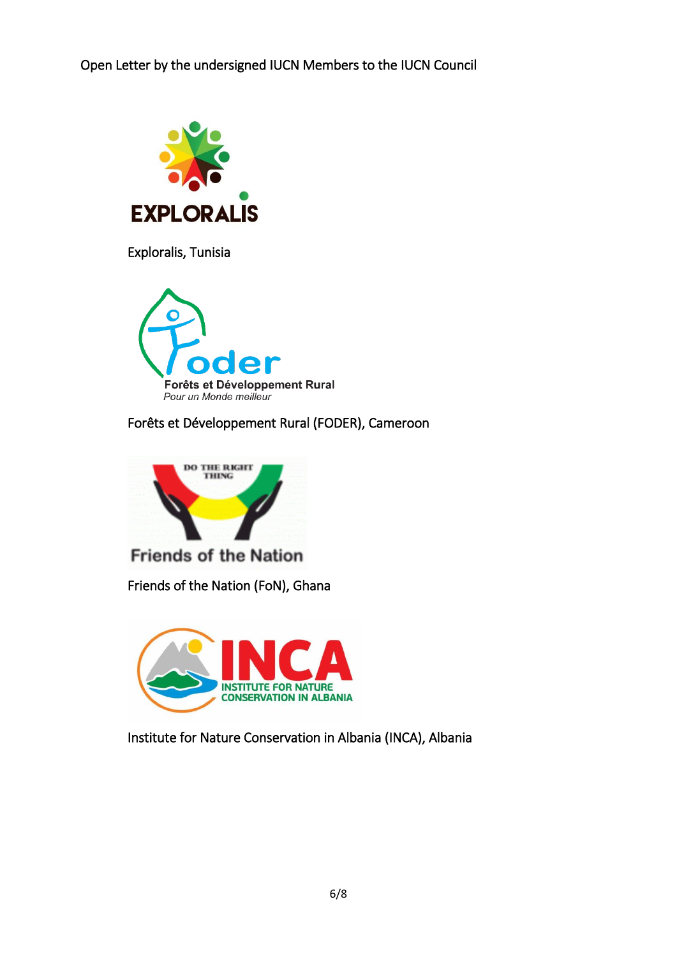

Exploralis, Tunisia



Forêts et Développement Rural (FODER), Cameroon



**Friends of the Nation** 

Friends of the Nation (FoN), Ghana



Institute for Nature Conservation in Albania (INCA), Albania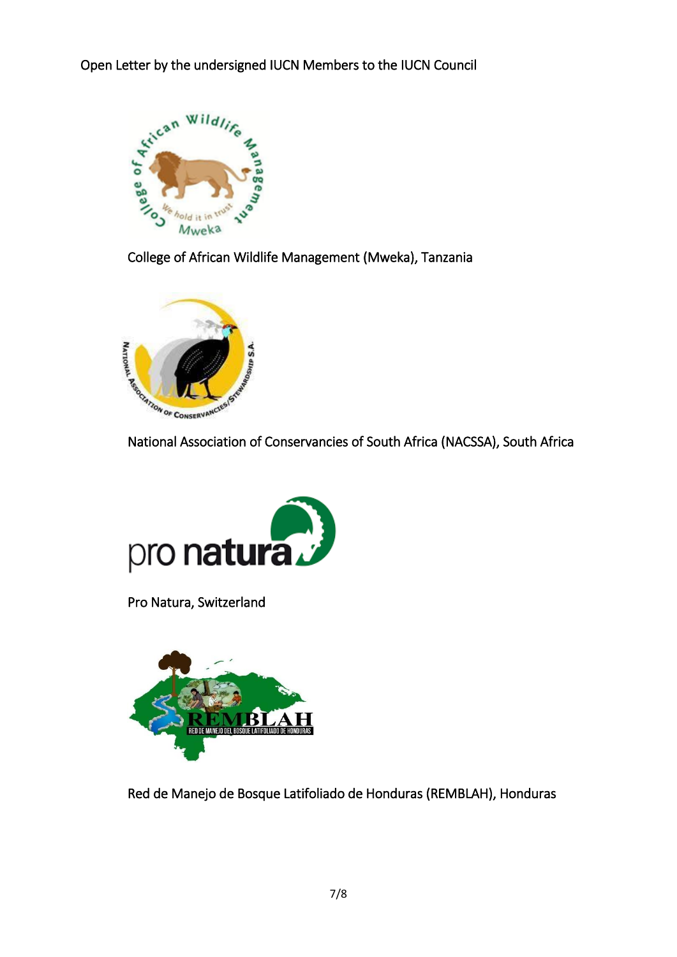

College of African Wildlife Management (Mweka), Tanzania





Pro Natura, Switzerland



Red de Manejo de Bosque Latifoliado de Honduras (REMBLAH), Honduras